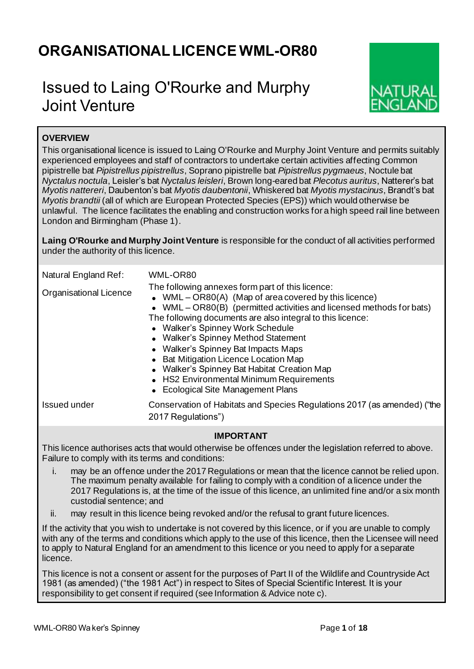# **ORGANISATIONALLICENCE WML-OR80**

# Issued to Laing O'Rourke and Murphy Joint Venture



# **OVERVIEW**

This organisational licence is issued to Laing O'Rourke and Murphy Joint Venture and permits suitably experienced employees and staff of contractors to undertake certain activities affecting Common pipistrelle bat *Pipistrellus pipistrellus*, Soprano pipistrelle bat *Pipistrellus pygmaeus*, Noctule bat *Nyctalus noctula*, Leisler's bat *Nyctalus leisleri*, Brown long-eared bat *Plecotus auritus*, Natterer's bat *Myotis nattereri*, Daubenton's bat *Myotis daubentonii*, Whiskered bat *Myotis mystacinus*, Brandt's bat *Myotis brandtii* (all of which are European Protected Species (EPS)) which would otherwise be unlawful. The licence facilitates the enabling and construction works for a high speed rail line between London and Birmingham (Phase 1).

**Laing O'Rourke and Murphy Joint Venture** is responsible for the conduct of all activities performed under the authority of this licence.

| Natural England Ref:   | WML-OR80                                                                                                                                                                                                                                                                                                                                                                                                                                                                                                                                      |
|------------------------|-----------------------------------------------------------------------------------------------------------------------------------------------------------------------------------------------------------------------------------------------------------------------------------------------------------------------------------------------------------------------------------------------------------------------------------------------------------------------------------------------------------------------------------------------|
| Organisational Licence | The following annexes form part of this licence:<br>• WML – OR80(A) (Map of area covered by this licence)<br>• WML – $OR80(B)$ (permitted activities and licensed methods for bats)<br>The following documents are also integral to this licence:<br>• Walker's Spinney Work Schedule<br>• Walker's Spinney Method Statement<br>• Walker's Spinney Bat Impacts Maps<br>• Bat Mitigation Licence Location Map<br>• Walker's Spinney Bat Habitat Creation Map<br>• HS2 Environmental Minimum Requirements<br>• Ecological Site Management Plans |
| Issued under           | Conservation of Habitats and Species Regulations 2017 (as amended) ("the<br>2017 Regulations")                                                                                                                                                                                                                                                                                                                                                                                                                                                |

## **IMPORTANT**

This licence authorises acts that would otherwise be offences under the legislation referred to above. Failure to comply with its terms and conditions:

- i. may be an offence under the 2017 Regulations or mean that the licence cannot be relied upon. The maximum penalty available for failing to comply with a condition of a licence under the 2017 Regulations is, at the time of the issue of this licence, an unlimited fine and/or a six month custodial sentence; and
- ii. may result in this licence being revoked and/or the refusal to grant future licences.

If the activity that you wish to undertake is not covered by this licence, or if you are unable to comply with any of the terms and conditions which apply to the use of this licence, then the Licensee will need to apply to Natural England for an amendment to this licence or you need to apply for a separate licence.

This licence is not a consent or assent for the purposes of Part II of the Wildlife and Countryside Act 1981 (as amended) ("the 1981 Act") in respect to Sites of Special Scientific Interest. It is your responsibility to get consent if required (see Information & Advice note c).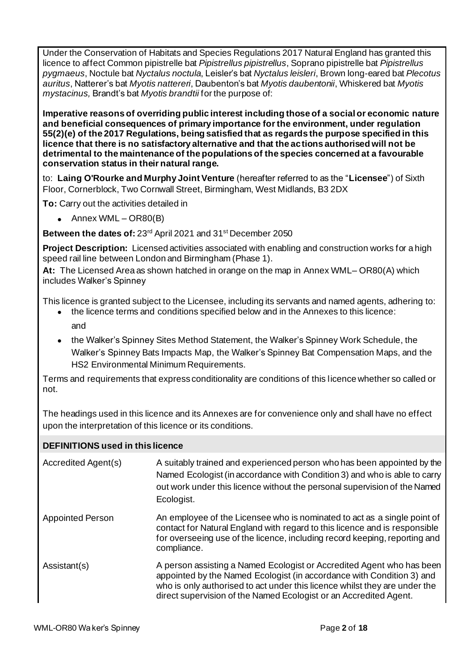Under the Conservation of Habitats and Species Regulations 2017 Natural England has granted this licence to affect Common pipistrelle bat *Pipistrellus pipistrellus*, Soprano pipistrelle bat *Pipistrellus pygmaeus*, Noctule bat *Nyctalus noctula*, Leisler's bat *Nyctalus leisleri*, Brown long-eared bat *Plecotus auritus*, Natterer's bat *Myotis nattereri*, Daubenton's bat *Myotis daubentonii*, Whiskered bat *Myotis mystacinus,* Brandt's bat *Myotis brandtii* for the purpose of:

**Imperative reasons of overriding public interest including those of a social or economic nature and beneficial consequences of primary importance for the environment, under regulation 55(2)(e) of the 2017 Regulations, being satisfied that as regards the purpose specified in this licence that there is no satisfactory alternative and that the actions authorised will not be detrimental to the maintenance of the populations of the species concerned at a favourable conservation status in their natural range.**

to: **Laing O'Rourke and Murphy Joint Venture** (hereafter referred to as the "**Licensee**") of Sixth Floor, Cornerblock, Two Cornwall Street, Birmingham, West Midlands, B3 2DX

**To:** Carry out the activities detailed in

• Annex WML – OR80(B)

Between the dates of: 23<sup>rd</sup> April 2021 and 31<sup>st</sup> December 2050

**Project Description:** Licensed activities associated with enabling and construction works for a high speed rail line between London and Birmingham (Phase 1).

**At:** The Licensed Area as shown hatched in orange on the map in Annex WML– OR80(A) which includes Walker's Spinney

This licence is granted subject to the Licensee, including its servants and named agents, adhering to:

- the licence terms and conditions specified below and in the Annexes to this licence: and
- the Walker's Spinney Sites Method Statement, the Walker's Spinney Work Schedule, the Walker's Spinney Bats Impacts Map, the Walker's Spinney Bat Compensation Maps, and the HS2 Environmental Minimum Requirements.

Terms and requirements that express conditionality are conditions of this licence whether so called or not.

The headings used in this licence and its Annexes are for convenience only and shall have no effect upon the interpretation of this licence or its conditions.

## **DEFINITIONS used in this licence**

| Accredited Agent(s)     | A suitably trained and experienced person who has been appointed by the<br>Named Ecologist (in accordance with Condition 3) and who is able to carry<br>out work under this licence without the personal supervision of the Named<br>Ecologist.                                                   |
|-------------------------|---------------------------------------------------------------------------------------------------------------------------------------------------------------------------------------------------------------------------------------------------------------------------------------------------|
| <b>Appointed Person</b> | An employee of the Licensee who is nominated to act as a single point of<br>contact for Natural England with regard to this licence and is responsible<br>for overseeing use of the licence, including record keeping, reporting and<br>compliance.                                               |
| Assistant(s)            | A person assisting a Named Ecologist or Accredited Agent who has been<br>appointed by the Named Ecologist (in accordance with Condition 3) and<br>who is only authorised to act under this licence whilst they are under the<br>direct supervision of the Named Ecologist or an Accredited Agent. |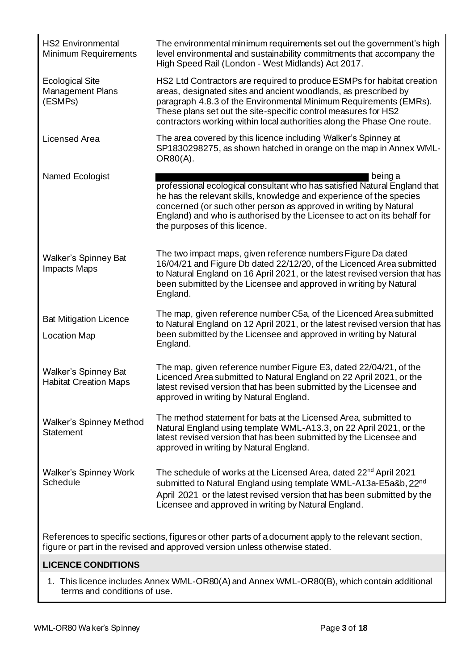| <b>HS2 Environmental</b><br><b>Minimum Requirements</b>                                                                                                                             | The environmental minimum requirements set out the government's high<br>level environmental and sustainability commitments that accompany the<br>High Speed Rail (London - West Midlands) Act 2017.                                                                                                                                                         |  |  |  |  |
|-------------------------------------------------------------------------------------------------------------------------------------------------------------------------------------|-------------------------------------------------------------------------------------------------------------------------------------------------------------------------------------------------------------------------------------------------------------------------------------------------------------------------------------------------------------|--|--|--|--|
| <b>Ecological Site</b><br><b>Management Plans</b><br>(ESMPs)                                                                                                                        | HS2 Ltd Contractors are required to produce ESMPs for habitat creation<br>areas, designated sites and ancient woodlands, as prescribed by<br>paragraph 4.8.3 of the Environmental Minimum Requirements (EMRs).<br>These plans set out the site-specific control measures for HS2<br>contractors working within local authorities along the Phase One route. |  |  |  |  |
| Licensed Area                                                                                                                                                                       | The area covered by this licence including Walker's Spinney at<br>SP1830298275, as shown hatched in orange on the map in Annex WML-<br>OR80(A).                                                                                                                                                                                                             |  |  |  |  |
| Named Ecologist                                                                                                                                                                     | being a<br>professional ecological consultant who has satisfied Natural England that<br>he has the relevant skills, knowledge and experience of the species<br>concerned (or such other person as approved in writing by Natural<br>England) and who is authorised by the Licensee to act on its behalf for<br>the purposes of this licence.                |  |  |  |  |
| <b>Walker's Spinney Bat</b><br>Impacts Maps                                                                                                                                         | The two impact maps, given reference numbers Figure Da dated<br>16/04/21 and Figure Db dated 22/12/20, of the Licenced Area submitted<br>to Natural England on 16 April 2021, or the latest revised version that has<br>been submitted by the Licensee and approved in writing by Natural<br>England.                                                       |  |  |  |  |
| <b>Bat Mitigation Licence</b><br><b>Location Map</b>                                                                                                                                | The map, given reference number C5a, of the Licenced Area submitted<br>to Natural England on 12 April 2021, or the latest revised version that has<br>been submitted by the Licensee and approved in writing by Natural<br>England.                                                                                                                         |  |  |  |  |
| <b>Walker's Spinney Bat</b><br><b>Habitat Creation Maps</b>                                                                                                                         | The map, given reference number Figure E3, dated 22/04/21, of the<br>Licenced Area submitted to Natural England on 22 April 2021, or the<br>latest revised version that has been submitted by the Licensee and<br>approved in writing by Natural England.                                                                                                   |  |  |  |  |
| <b>Walker's Spinney Method</b><br>Statement                                                                                                                                         | The method statement for bats at the Licensed Area, submitted to<br>Natural England using template WML-A13.3, on 22 April 2021, or the<br>latest revised version that has been submitted by the Licensee and<br>approved in writing by Natural England.                                                                                                     |  |  |  |  |
| <b>Walker's Spinney Work</b><br>Schedule                                                                                                                                            | The schedule of works at the Licensed Area, dated 22 <sup>nd</sup> April 2021<br>submitted to Natural England using template WML-A13a-E5a&b, 22nd<br>April 2021 or the latest revised version that has been submitted by the<br>Licensee and approved in writing by Natural England.                                                                        |  |  |  |  |
| References to specific sections, figures or other parts of a document apply to the relevant section,<br>figure or part in the revised and approved version unless otherwise stated. |                                                                                                                                                                                                                                                                                                                                                             |  |  |  |  |

## **LICENCE CONDITIONS**

1. This licence includes Annex WML-OR80(A) and Annex WML-OR80(B), which contain additional terms and conditions of use.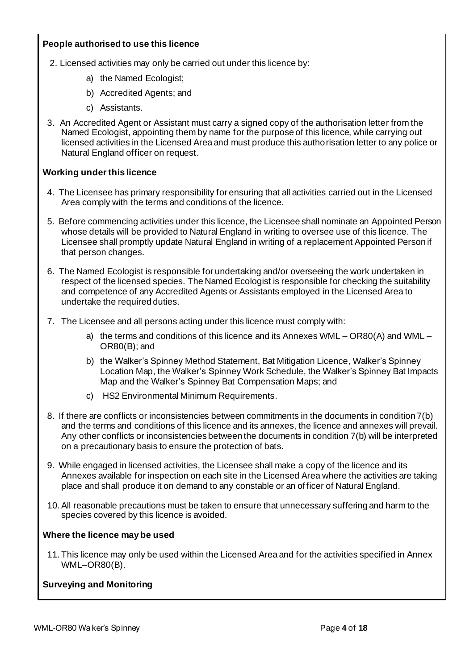## **People authorised to use this licence**

- 2. Licensed activities may only be carried out under this licence by:
	- a) the Named Ecologist;
	- b) Accredited Agents; and
	- c) Assistants.
- 3. An Accredited Agent or Assistant must carry a signed copy of the authorisation letter from the Named Ecologist, appointing them by name for the purpose of this licence, while carrying out licensed activities in the Licensed Area and must produce this authorisation letter to any police or Natural England officer on request.

## **Working under this licence**

- 4. The Licensee has primary responsibility for ensuring that all activities carried out in the Licensed Area comply with the terms and conditions of the licence.
- 5. Before commencing activities under this licence, the Licensee shall nominate an Appointed Person whose details will be provided to Natural England in writing to oversee use of this licence. The Licensee shall promptly update Natural England in writing of a replacement Appointed Person if that person changes.
- 6. The Named Ecologist is responsible for undertaking and/or overseeing the work undertaken in respect of the licensed species. The Named Ecologist is responsible for checking the suitability and competence of any Accredited Agents or Assistants employed in the Licensed Area to undertake the required duties.
- 7. The Licensee and all persons acting under this licence must comply with:
	- a) the terms and conditions of this licence and its Annexes WML OR80(A) and WML OR80(B); and
	- b) the Walker's Spinney Method Statement, Bat Mitigation Licence, Walker's Spinney Location Map, the Walker's Spinney Work Schedule, the Walker's Spinney Bat Impacts Map and the Walker's Spinney Bat Compensation Maps; and
	- c) HS2 Environmental Minimum Requirements.
- 8. If there are conflicts or inconsistencies between commitments in the documents in condition 7(b) and the terms and conditions of this licence and its annexes, the licence and annexes will prevail. Any other conflicts or inconsistencies between the documents in condition 7(b) will be interpreted on a precautionary basis to ensure the protection of bats.
- 9. While engaged in licensed activities, the Licensee shall make a copy of the licence and its Annexes available for inspection on each site in the Licensed Area where the activities are taking place and shall produce it on demand to any constable or an officer of Natural England.
- 10.All reasonable precautions must be taken to ensure that unnecessary suffering and harm to the species covered by this licence is avoided.

## **Where the licence may be used**

11. This licence may only be used within the Licensed Area and for the activities specified in Annex WML–OR80(B).

## **Surveying and Monitoring**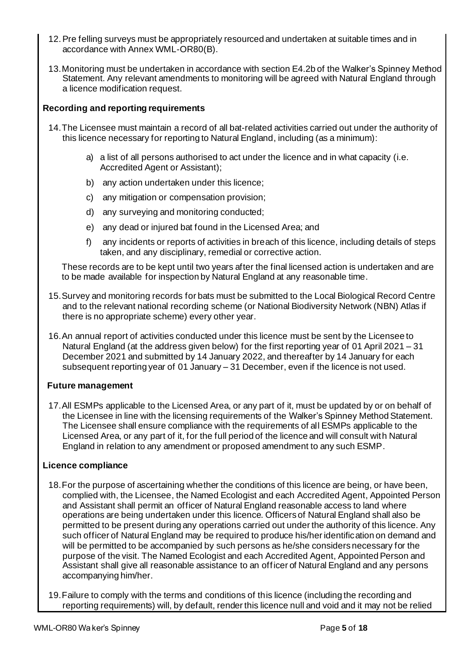- 12.Pre felling surveys must be appropriately resourced and undertaken at suitable times and in accordance with Annex WML-OR80(B).
- 13.Monitoring must be undertaken in accordance with section E4.2b of the Walker's Spinney Method Statement. Any relevant amendments to monitoring will be agreed with Natural England through a licence modification request.

## **Recording and reporting requirements**

- 14.The Licensee must maintain a record of all bat-related activities carried out under the authority of this licence necessary for reporting to Natural England, including (as a minimum):
	- a) a list of all persons authorised to act under the licence and in what capacity (i.e. Accredited Agent or Assistant);
	- b) any action undertaken under this licence;
	- c) any mitigation or compensation provision;
	- d) any surveying and monitoring conducted;
	- e) any dead or injured bat found in the Licensed Area; and
	- f) any incidents or reports of activities in breach of this licence, including details of steps taken, and any disciplinary, remedial or corrective action.

These records are to be kept until two years after the final licensed action is undertaken and are to be made available for inspection by Natural England at any reasonable time.

- 15.Survey and monitoring records for bats must be submitted to the Local Biological Record Centre and to the relevant national recording scheme (or National Biodiversity Network (NBN) Atlas if there is no appropriate scheme) every other year.
- 16.An annual report of activities conducted under this licence must be sent by the Licensee to Natural England (at the address given below) for the first reporting year of 01 April 2021 – 31 December 2021 and submitted by 14 January 2022, and thereafter by 14 January for each subsequent reporting year of 01 January – 31 December, even if the licence is not used.

## **Future management**

17.All ESMPs applicable to the Licensed Area, or any part of it, must be updated by or on behalf of the Licensee in line with the licensing requirements of the Walker's Spinney Method Statement. The Licensee shall ensure compliance with the requirements of all ESMPs applicable to the Licensed Area, or any part of it, for the full period of the licence and will consult with Natural England in relation to any amendment or proposed amendment to any such ESMP.

## **Licence compliance**

- 18.For the purpose of ascertaining whether the conditions of this licence are being, or have been, complied with, the Licensee, the Named Ecologist and each Accredited Agent, Appointed Person and Assistant shall permit an officer of Natural England reasonable access to land where operations are being undertaken under this licence. Officers of Natural England shall also be permitted to be present during any operations carried out under the authority of this licence. Any such officer of Natural England may be required to produce his/her identification on demand and will be permitted to be accompanied by such persons as he/she considers necessary for the purpose of the visit. The Named Ecologist and each Accredited Agent, Appointed Person and Assistant shall give all reasonable assistance to an officer of Natural England and any persons accompanying him/her.
- 19.Failure to comply with the terms and conditions of this licence (including the recording and reporting requirements) will, by default, render this licence null and void and it may not be relied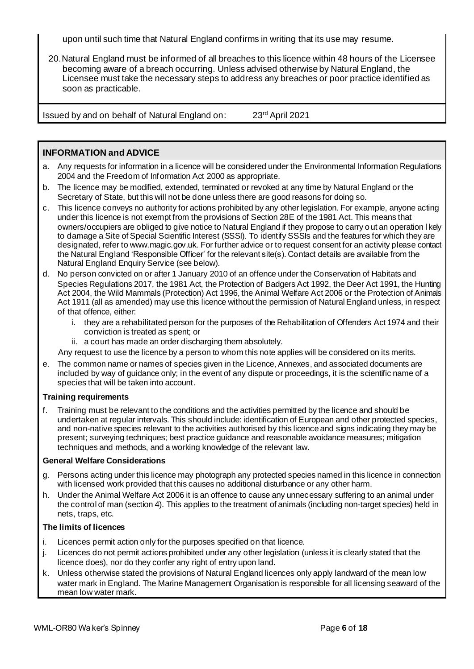upon until such time that Natural England confirms in writing that its use may resume.

20.Natural England must be informed of all breaches to this licence within 48 hours of the Licensee becoming aware of a breach occurring. Unless advised otherwise by Natural England, the Licensee must take the necessary steps to address any breaches or poor practice identified as soon as practicable.

Issued by and on behalf of Natural England on: 23rd April 2021

## **INFORMATION and ADVICE**

- a. Any requests for information in a licence will be considered under the Environmental Information Regulations 2004 and the Freedom of Information Act 2000 as appropriate.
- b. The licence may be modified, extended, terminated or revoked at any time by Natural England or the Secretary of State, but this will not be done unless there are good reasons for doing so.
- c. This licence conveys no authority for actions prohibited by any other legislation. For example, anyone acting under this licence is not exempt from the provisions of Section 28E of the 1981 Act. This means that owners/occupiers are obliged to give notice to Natural England if they propose to carry out an operation l kely to damage a Site of Special Scientific Interest (SSSI). To identify SSSIs and the features for which they are designated, refer to www.magic.gov.uk. For further advice or to request consent for an activity please contact the Natural England 'Responsible Officer' for the relevant site(s). Contact details are available from the Natural England Enquiry Service (see below).
- d. No person convicted on or after 1 January 2010 of an offence under the Conservation of Habitats and Species Regulations 2017, the 1981 Act, the Protection of Badgers Act 1992, the Deer Act 1991, the Hunting Act 2004, the Wild Mammals (Protection) Act 1996, the Animal Welfare Act 2006 or the Protection of Animals Act 1911 (all as amended) may use this licence without the permission of Natural England unless, in respect of that offence, either:
	- i. they are a rehabilitated person for the purposes of the Rehabilitation of Offenders Act 1974 and their conviction is treated as spent; or
	- ii. a court has made an order discharging them absolutely.

Any request to use the licence by a person to whom this note applies will be considered on its merits.

e. The common name or names of species given in the Licence, Annexes, and associated documents are included by way of guidance only; in the event of any dispute or proceedings, it is the scientific name of a species that will be taken into account.

## **Training requirements**

f. Training must be relevant to the conditions and the activities permitted by the licence and should be undertaken at regular intervals. This should include: identification of European and other protected species, and non-native species relevant to the activities authorised by this licence and signs indicating they may be present; surveying techniques; best practice guidance and reasonable avoidance measures; mitigation techniques and methods, and a working knowledge of the relevant law.

### **General Welfare Considerations**

- g. Persons acting under this licence may photograph any protected species named in this licence in connection with licensed work provided that this causes no additional disturbance or any other harm.
- h. Under the Animal Welfare Act 2006 it is an offence to cause any unnecessary suffering to an animal under the control of man (section 4). This applies to the treatment of animals (including non-target species) held in nets, traps, etc.

## **The limits of licences**

- i. Licences permit action only for the purposes specified on that licence.
- j. Licences do not permit actions prohibited under any other legislation (unless it is clearly stated that the licence does), nor do they confer any right of entry upon land.
- k. Unless otherwise stated the provisions of Natural England licences only apply landward of the mean low water mark in England. The Marine Management Organisation is responsible for all licensing seaward of the mean low water mark.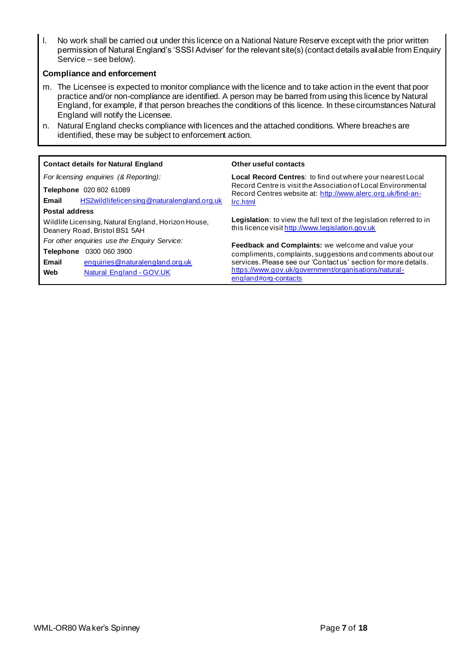l. No work shall be carried out under this licence on a National Nature Reserve except with the prior written permission of Natural England's 'SSSI Adviser' for the relevant site(s) (contact details available from Enquiry Service – see below).

### **Compliance and enforcement**

- m. The Licensee is expected to monitor compliance with the licence and to take action in the event that poor practice and/or non-compliance are identified. A person may be barred from using this licence by Natural England, for example, if that person breaches the conditions of this licence. In these circumstances Natural England will notify the Licensee.
- n. Natural England checks compliance with licences and the attached conditions. Where breaches are identified, these may be subject to enforcement action.

| <b>Contact details for Natural England</b>                                           | Other useful contacts                                                                                                                                                                      |  |  |  |  |
|--------------------------------------------------------------------------------------|--------------------------------------------------------------------------------------------------------------------------------------------------------------------------------------------|--|--|--|--|
| For licensing enquiries (& Reporting):                                               | Local Record Centres: to find out where your nearest Local<br>Record Centre is visit the Association of Local Environmental<br>Record Centres website at: http://www.alerc.org.uk/find-an- |  |  |  |  |
| Telephone 020 802 61089                                                              |                                                                                                                                                                                            |  |  |  |  |
| HS2wildlifelicensing@naturalengland.org.uk<br>Email                                  | Irc.html                                                                                                                                                                                   |  |  |  |  |
| <b>Postal address</b>                                                                |                                                                                                                                                                                            |  |  |  |  |
| Wildlife Licensing, Natural England, Horizon House,<br>Deanery Road, Bristol BS1 5AH | Legislation: to view the full text of the legislation referred to in<br>this licence visit http://www.legislation.gov.uk                                                                   |  |  |  |  |
| For other enquiries use the Enquiry Service:                                         | <b>Feedback and Complaints:</b> we welcome and value your                                                                                                                                  |  |  |  |  |
| 0300 060 3900<br><b>Telephone</b>                                                    | compliments, complaints, suggestions and comments about our                                                                                                                                |  |  |  |  |
| enquiries@naturalengland.org.uk<br>Email                                             | services. Please see our 'Contactus' section for more details.                                                                                                                             |  |  |  |  |
| <b>Natural England - GOV.UK</b><br>Web                                               | https://www.gov.uk/government/organisations/natural-<br>england#org-contacts                                                                                                               |  |  |  |  |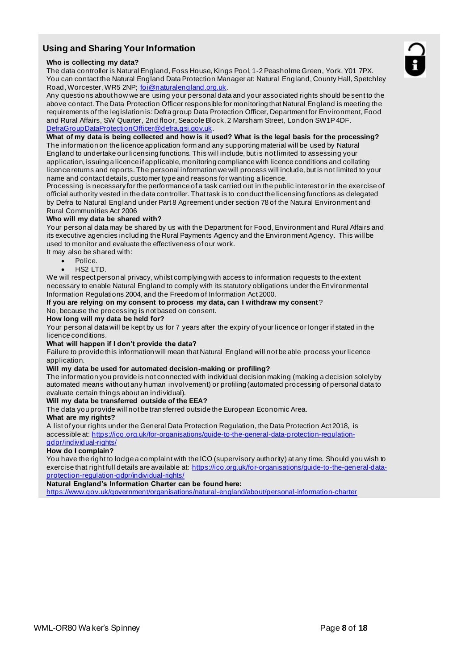## **Using and Sharing Your Information**

#### **Who is collecting my data?**

The data controller is Natural England, Foss House, Kings Pool, 1-2 Peasholme Green, York, Y01 7PX. You can contact the Natural England Data Protection Manager at: Natural England, County Hall, Spetchley Road, Worcester, WR5 2NP; foi@naturalengland.org.uk.

Any questions about how we are using your personal data and your associated rights should be sent to the above contact. The Data Protection Officer responsible for monitoring that Natural England is meeting the requirements of the legislation is: Defra group Data Protection Officer, Department for Environment, Food and Rural Affairs, SW Quarter, 2nd floor, Seacole Block, 2 Marsham Street, London SW1P 4DF. DefraGroupDataProtectionOfficer@defra.gsi.gov.uk.

**What of my data is being collected and how is it used? What is the legal basis for the processing?** The information on the licence application form and any supporting material will be used by Natural England to undertake our licensing functions. This will include, but is not limited to assessing your application, issuing a licence if applicable, monitoring compliance with licence conditions and collating licence returns and reports. The personal information we will process will include, but is not limited to your name and contact details, customer type and reasons for wanting a licence.

Processing is necessary for the performance of a task carried out in the public interest or in the exercise of official authority vested in the data controller. That task is to conduct the licensing functions as delegated by Defra to Natural England under Part 8 Agreement under section 78 of the Natural Environment and Rural Communities Act 2006

#### **Who will my data be shared with?**

Your personal data may be shared by us with the Department for Food, Environment and Rural Affairs and its executive agencies including the Rural Payments Agency and the Environment Agency. This will be used to monitor and evaluate the effectiveness of our work.

- It may also be shared with:
	- Police.
	- $HS2$  LTD.

We will respect personal privacy, whilst complying with access to information requests to the extent necessary to enable Natural England to comply with its statutory obligations under the Environmental Information Regulations 2004, and the Freedom of Information Act 2000.

**If you are relying on my consent to process my data, can I withdraw my consent**?

No, because the processing is not based on consent.

#### **How long will my data be held for?**

Your personal data will be kept by us for 7 years after the expiry of your licence or longer if stated in the licence conditions.

#### **What will happen if I don't provide the data?**

Failure to provide this information will mean that Natural England will not be able process your licence application.

#### **Will my data be used for automated decision-making or profiling?**

The information you provide is not connected with individual decision making (making a decision solely by automated means without any human involvement) or profiling (automated processing of personal data to evaluate certain things about an individual).

#### **Will my data be transferred outside of the EEA?**

The data you provide will not be transferred outside the European Economic Area.

#### **What are my rights?**

A list of your rights under the General Data Protection Regulation, the Data Protection Act 2018, is accessible at: https://ico.org.uk/for-organisations/guide-to-the-general-data-protection-regulationgdpr/individual-rights/

#### **How do I complain?**

You have the right to lodge a complaint with the ICO (supervisory authority) at any time. Should you wish to exercise that right full details are available at: https://ico.org.uk/for-organisations/guide-to-the-general-dataprotection-regulation-gdpr/individual-rights/

#### **Natural England's Information Charter can be found here:**

https://www.gov.uk/government/organisations/natural-england/about/personal-information-charter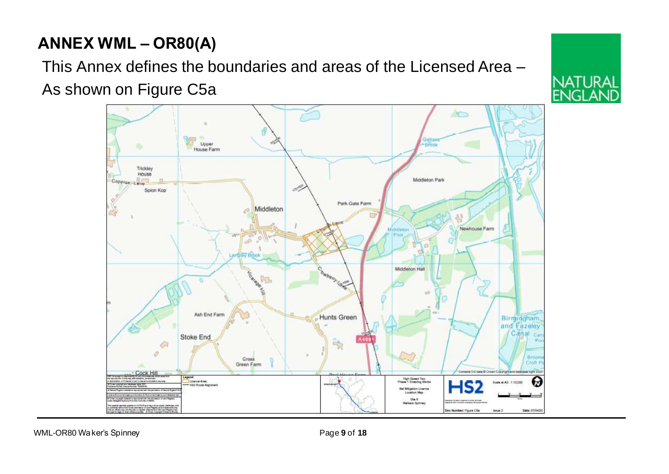# **ANNEX WML – OR80(A)**

This Annex defines the boundaries and areas of the Licensed Area – As shown on Figure C5a

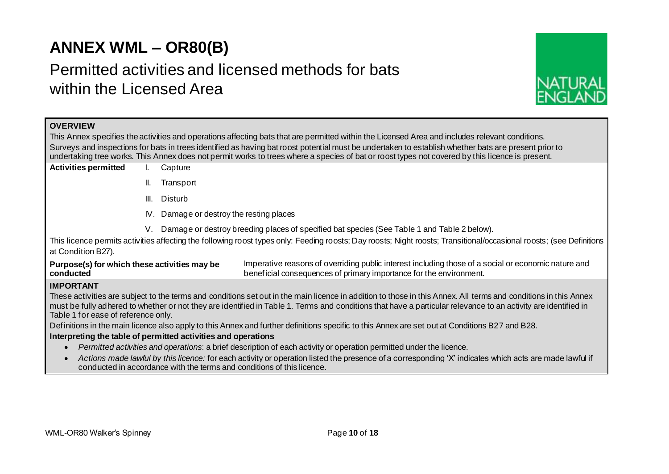# **ANNEX WML – OR80(B)**

# Permitted activities and licensed methods for bats within the Licensed Area



## **OVERVIEW**

This Annex specifies the activities and operations affecting bats that are permitted within the Licensed Area and includes relevant conditions. Surveys and inspections for bats in trees identified as having bat roost potential must be undertaken to establish whether bats are present prior to undertaking tree works. This Annex does not permit works to trees where a species of bat or roost types not covered by this licence is present.

- **Activities permitted** I. Capture
	- II. Transport
	- III. Disturb
	- IV. Damage or destroy the resting places
	- V. Damage or destroy breeding places of specified bat species (See Table 1 and Table 2 below).

This licence permits activities affecting the following roost types only: Feeding roosts; Day roosts; Night roosts; Transitional/occasional roosts; (see Definitions at Condition B27).

**Purpose(s) for which these activities may be conducted** Imperative reasons of overriding public interest including those of a social or economic nature and beneficial consequences of primary importance for the environment.

## **IMPORTANT**

These activities are subject to the terms and conditions set out in the main licence in addition to those in this Annex. All terms and conditions in this Annex must be fully adhered to whether or not they are identified in Table 1. Terms and conditions that have a particular relevance to an activity are identified in Table 1 for ease of reference only.

Definitions in the main licence also apply to this Annex and further definitions specific to this Annex are set out at Conditions B27 and B28.

### **Interpreting the table of permitted activities and operations**

- *Permitted activities and operations*: a brief description of each activity or operation permitted under the licence.
- *Actions made lawful by this licence:* for each activity or operation listed the presence of a corresponding 'X' indicates which acts are made lawful if conducted in accordance with the terms and conditions of this licence.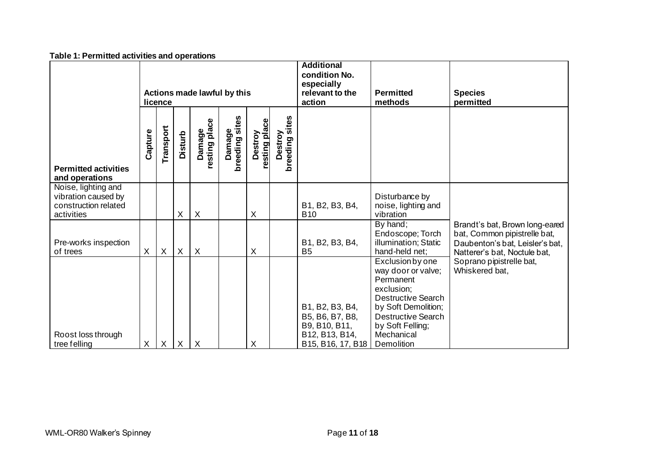| Table 1. Femmitted activities and operations                                     |                                        |           |                |                           |                          |                          |                                                                               |                                                                                            |                                                                                                                                                                                                    |                                                                                                                                   |
|----------------------------------------------------------------------------------|----------------------------------------|-----------|----------------|---------------------------|--------------------------|--------------------------|-------------------------------------------------------------------------------|--------------------------------------------------------------------------------------------|----------------------------------------------------------------------------------------------------------------------------------------------------------------------------------------------------|-----------------------------------------------------------------------------------------------------------------------------------|
|                                                                                  | Actions made lawful by this<br>licence |           |                |                           |                          |                          | <b>Additional</b><br>condition No.<br>especially<br>relevant to the<br>action | <b>Permitted</b><br>methods                                                                | <b>Species</b><br>permitted                                                                                                                                                                        |                                                                                                                                   |
| <b>Permitted activities</b><br>and operations                                    | Capture                                | Transport | <b>Disturb</b> | Damage<br>resting place   | Damage<br>breeding sites | resting place<br>Destroy | breeding sites<br>Destroy                                                     |                                                                                            |                                                                                                                                                                                                    |                                                                                                                                   |
| Noise, lighting and<br>vibration caused by<br>construction related<br>activities |                                        |           | X              | $\sf X$                   |                          | Χ                        |                                                                               | B1, B2, B3, B4,<br><b>B10</b>                                                              | Disturbance by<br>noise, lighting and<br>vibration                                                                                                                                                 |                                                                                                                                   |
| Pre-works inspection<br>of trees                                                 | X                                      | $\sf X$   | X              | $\boldsymbol{\mathsf{X}}$ |                          | X                        |                                                                               | B1, B2, B3, B4,<br>B <sub>5</sub>                                                          | By hand;<br>Endoscope; Torch<br>illumination; Static<br>hand-held net;                                                                                                                             | Brandt's bat, Brown long-eared<br>bat, Common pipistrelle bat,<br>Daubenton's bat, Leisler's bat,<br>Natterer's bat, Noctule bat, |
| Roost loss through<br>tree felling                                               | X                                      | X         | X              | $\mathsf{X}$              |                          | X                        |                                                                               | B1, B2, B3, B4,<br>B5, B6, B7, B8,<br>B9, B10, B11,<br>B12, B13, B14,<br>B15, B16, 17, B18 | Exclusion by one<br>way door or valve;<br>Permanent<br>exclusion;<br><b>Destructive Search</b><br>by Soft Demolition;<br><b>Destructive Search</b><br>by Soft Felling;<br>Mechanical<br>Demolition | Soprano pipistrelle bat,<br>Whiskered bat,                                                                                        |

#### **Table 1: Permitted activities and operations**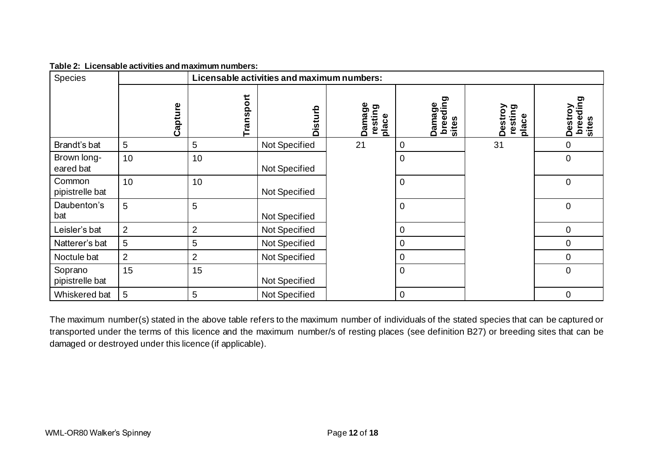| Species                    |                |                | Licensable activities and maximum numbers: |                            |                             |                             |                                   |
|----------------------------|----------------|----------------|--------------------------------------------|----------------------------|-----------------------------|-----------------------------|-----------------------------------|
|                            | Capture        | Transport      | <b>Disturb</b>                             | Damage<br>resting<br>place | breeding<br>sites<br>Damage | Destroy<br>resting<br>place | O.<br>breedin<br>Destroy<br>sites |
| Brandt's bat               | 5              | 5              | Not Specified                              | 21                         | $\mathbf 0$                 | 31                          | $\overline{0}$                    |
| Brown long-<br>eared bat   | 10             | 10             | Not Specified                              |                            | $\mathbf 0$                 |                             | $\overline{0}$                    |
| Common<br>pipistrelle bat  | 10             | 10             | Not Specified                              |                            | $\mathbf 0$                 |                             | $\mathbf 0$                       |
| Daubenton's<br>bat         | 5              | 5              | Not Specified                              |                            | $\mathbf 0$                 |                             | $\mathbf 0$                       |
| Leisler's bat              | $\overline{2}$ | $\overline{2}$ | Not Specified                              |                            | 0                           |                             | $\pmb{0}$                         |
| Natterer's bat             | 5              | 5              | Not Specified                              |                            | $\mathbf 0$                 |                             | $\mathbf 0$                       |
| Noctule bat                | $\overline{2}$ | 2              | Not Specified                              |                            | $\mathbf 0$                 |                             | $\mathbf 0$                       |
| Soprano<br>pipistrelle bat | 15             | 15             | Not Specified                              |                            | $\mathbf 0$                 |                             | $\mathbf 0$                       |
| Whiskered bat              | 5              | 5              | Not Specified                              |                            | $\overline{0}$              |                             | $\mathbf 0$                       |

**Table 2: Licensable activities and maximum numbers:**

The maximum number(s) stated in the above table refers to the maximum number of individuals of the stated species that can be captured or transported under the terms of this licence and the maximum number/s of resting places (see definition B27) or breeding sites that can be damaged or destroyed under this licence (if applicable).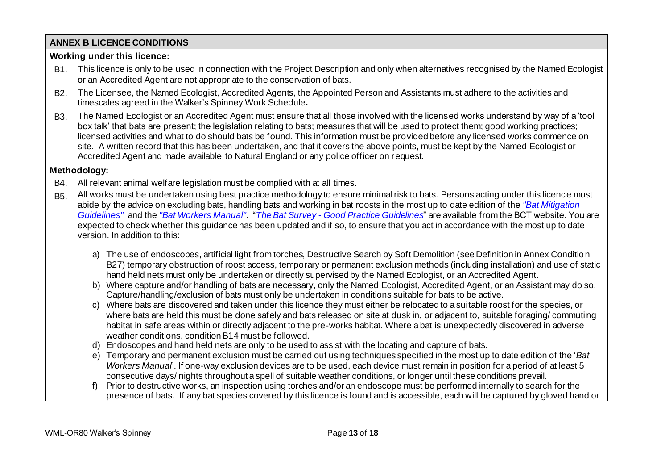# **ANNEX B LICENCE CONDITIONS**

## **Working under this licence:**

- B1. This licence is only to be used in connection with the Project Description and only when alternatives recognised by the Named Ecologist or an Accredited Agent are not appropriate to the conservation of bats.
- B2. The Licensee, the Named Ecologist, Accredited Agents, the Appointed Person and Assistants must adhere to the activities and timescales agreed in the Walker's Spinney Work Schedule**.**
- B3. The Named Ecologist or an Accredited Agent must ensure that all those involved with the licensed works understand by way of a 'tool box talk' that bats are present; the legislation relating to bats; measures that will be used to protect them; good working practices; licensed activities and what to do should bats be found. This information must be provided before any licensed works commence on site. A written record that this has been undertaken, and that it covers the above points, must be kept by the Named Ecologist or Accredited Agent and made available to Natural England or any police officer on request.

## **Methodology:**

- B4. All relevant animal welfare legislation must be complied with at all times.
- B5. All works must be undertaken using best practice methodology to ensure minimal risk to bats. Persons acting under this licence must abide by the advice on excluding bats, handling bats and working in bat roosts in the most up to date edition of the *"Bat Mitigation Guidelines"* and the *"Bat Workers Manual"*. "*The Bat Survey - Good Practice Guidelines*" are available from the BCT website. You are expected to check whether this guidance has been updated and if so, to ensure that you act in accordance with the most up to date version. In addition to this:
	- a) The use of endoscopes, artificial light from torches, Destructive Search by Soft Demolition (see Definition in Annex Condition B27) temporary obstruction of roost access, temporary or permanent exclusion methods (including installation) and use of static hand held nets must only be undertaken or directly supervised by the Named Ecologist, or an Accredited Agent.
	- b) Where capture and/or handling of bats are necessary, only the Named Ecologist, Accredited Agent, or an Assistant may do so. Capture/handling/exclusion of bats must only be undertaken in conditions suitable for bats to be active.
	- c) Where bats are discovered and taken under this licence they must either be relocated to a suitable roost for the species, or where bats are held this must be done safely and bats released on site at dusk in, or adjacent to, suitable foraging/ commuting habitat in safe areas within or directly adjacent to the pre-works habitat. Where a bat is unexpectedly discovered in adverse weather conditions, condition B14 must be followed.
	- d) Endoscopes and hand held nets are only to be used to assist with the locating and capture of bats.
	- e) Temporary and permanent exclusion must be carried out using techniques specified in the most up to date edition of the '*Bat Workers Manual*'. If one-way exclusion devices are to be used, each device must remain in position for a period of at least 5 consecutive days/ nights throughout a spell of suitable weather conditions, or longer until these conditions prevail.
	- f) Prior to destructive works, an inspection using torches and/or an endoscope must be performed internally to search for the presence of bats. If any bat species covered by this licence is found and is accessible, each will be captured by gloved hand or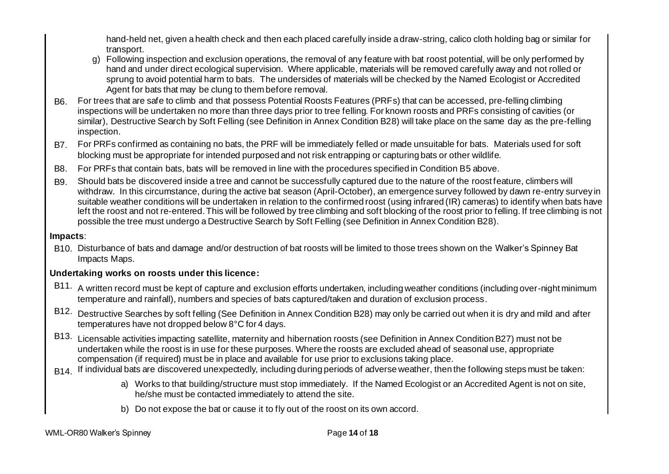hand-held net, given a health check and then each placed carefully inside a draw-string, calico cloth holding bag or similar for transport.

- g) Following inspection and exclusion operations, the removal of any feature with bat roost potential, will be only performed by hand and under direct ecological supervision. Where applicable, materials will be removed carefully away and not rolled or sprung to avoid potential harm to bats. The undersides of materials will be checked by the Named Ecologist or Accredited Agent for bats that may be clung to them before removal.
- B6. For trees that are safe to climb and that possess Potential Roosts Features (PRFs) that can be accessed, pre-felling climbing inspections will be undertaken no more than three days prior to tree felling. For known roosts and PRFs consisting of cavities (or similar), Destructive Search by Soft Felling (see Definition in Annex Condition B28) will take place on the same day as the pre-felling inspection.
- B7. For PRFs confirmed as containing no bats, the PRF will be immediately felled or made unsuitable for bats. Materials used for soft blocking must be appropriate for intended purposed and not risk entrapping or capturing bats or other wildlife.
- B8. For PRFs that contain bats, bats will be removed in line with the procedures specified in Condition B5 above.
- B9. Should bats be discovered inside a tree and cannot be successfully captured due to the nature of the roost feature, climbers will withdraw. In this circumstance, during the active bat season (April-October), an emergence survey followed by dawn re-entry survey in suitable weather conditions will be undertaken in relation to the confirmed roost (using infrared (IR) cameras) to identify when bats have left the roost and not re-entered. This will be followed by tree climbing and soft blocking of the roost prior to felling. If tree climbing is not possible the tree must undergo a Destructive Search by Soft Felling (see Definition in Annex Condition B28).

## **Impacts**:

B10. Disturbance of bats and damage and/or destruction of bat roosts will be limited to those trees shown on the Walker's Spinney Bat Impacts Maps.

# **Undertaking works on roosts under this licence:**

- B11. A written record must be kept of capture and exclusion efforts undertaken, including weather conditions (including over-night minimum temperature and rainfall), numbers and species of bats captured/taken and duration of exclusion process.
- B12. Destructive Searches by soft felling (See Definition in Annex Condition B28) may only be carried out when it is dry and mild and after temperatures have not dropped below 8°C for 4 days.
- B13. Licensable activities impacting satellite, maternity and hibernation roosts (see Definition in Annex Condition B27) must not be undertaken while the roost is in use for these purposes. Where the roosts are excluded ahead of seasonal use, appropriate compensation (if required) must be in place and available for use prior to exclusions taking place.
- B<sub>14</sub>. If individual bats are discovered unexpectedly, including during periods of adverse weather, then the following steps must be taken:
	- a) Works to that building/structure must stop immediately. If the Named Ecologist or an Accredited Agent is not on site, he/she must be contacted immediately to attend the site.
	- b) Do not expose the bat or cause it to fly out of the roost on its own accord.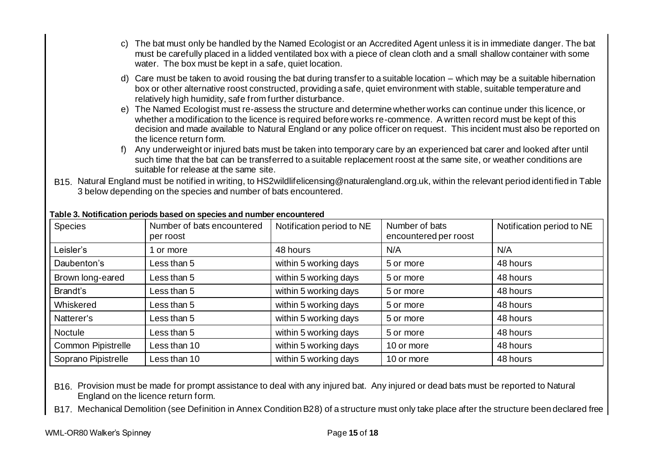- c) The bat must only be handled by the Named Ecologist or an Accredited Agent unless it is in immediate danger. The bat must be carefully placed in a lidded ventilated box with a piece of clean cloth and a small shallow container with some water. The box must be kept in a safe, quiet location.
- d) Care must be taken to avoid rousing the bat during transfer to a suitable location which may be a suitable hibernation box or other alternative roost constructed, providing a safe, quiet environment with stable, suitable temperature and relatively high humidity, safe from further disturbance.
- e) The Named Ecologist must re-assess the structure and determine whether works can continue under this licence, or whether a modification to the licence is required before works re-commence. A written record must be kept of this decision and made available to Natural England or any police officer on request. This incident must also be reported on the licence return form.
- f) Any underweight or injured bats must be taken into temporary care by an experienced bat carer and looked after until such time that the bat can be transferred to a suitable replacement roost at the same site, or weather conditions are suitable for release at the same site.
- B15. Natural England must be notified in writing, to HS2wildlifelicensing@naturalengland.org.uk, within the relevant period identified in Table 3 below depending on the species and number of bats encountered.

| <b>Species</b>            | Number of bats encountered<br>per roost | Notification period to NE | Number of bats<br>encountered per roost | Notification period to NE |
|---------------------------|-----------------------------------------|---------------------------|-----------------------------------------|---------------------------|
| Leisler's                 | 1 or more                               | 48 hours                  | N/A                                     | N/A                       |
| Daubenton's               | Less than 5                             | within 5 working days     | 5 or more                               | 48 hours                  |
| Brown long-eared          | Less than 5                             | within 5 working days     | 5 or more                               | 48 hours                  |
| Brandt's                  | Less than 5                             | within 5 working days     | 5 or more                               | 48 hours                  |
| Whiskered                 | Less than 5                             | within 5 working days     | 5 or more                               | 48 hours                  |
| Natterer's                | Less than 5                             | within 5 working days     | 5 or more                               | 48 hours                  |
| <b>Noctule</b>            | Less than 5                             | within 5 working days     | 5 or more                               | 48 hours                  |
| <b>Common Pipistrelle</b> | Less than 10                            | within 5 working days     | 10 or more                              | 48 hours                  |
| Soprano Pipistrelle       | Less than 10                            | within 5 working days     | 10 or more                              | 48 hours                  |

### **Table 3. Notification periods based on species and number encountered**

B16. Provision must be made for prompt assistance to deal with any injured bat. Any injured or dead bats must be reported to Natural England on the licence return form.

B17. Mechanical Demolition (see Definition in Annex Condition B28) of a structure must only take place after the structure been declared free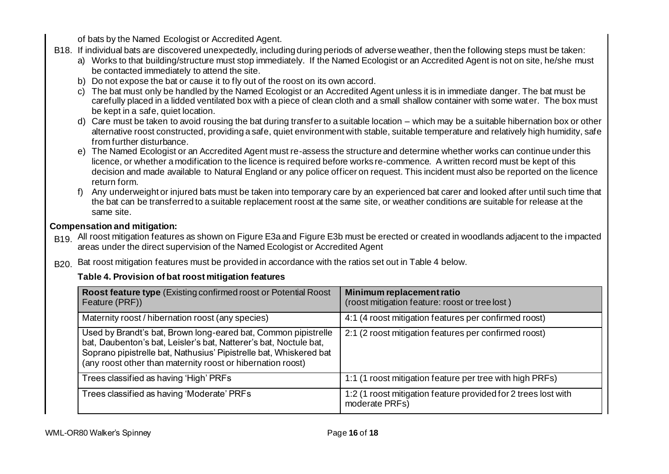of bats by the Named Ecologist or Accredited Agent.

- B18. If individual bats are discovered unexpectedly, including during periods of adverse weather, then the following steps must be taken:
	- a) Works to that building/structure must stop immediately. If the Named Ecologist or an Accredited Agent is not on site, he/she must be contacted immediately to attend the site.
	- b) Do not expose the bat or cause it to fly out of the roost on its own accord.
	- c) The bat must only be handled by the Named Ecologist or an Accredited Agent unless it is in immediate danger. The bat must be carefully placed in a lidded ventilated box with a piece of clean cloth and a small shallow container with some water. The box must be kept in a safe, quiet location.
	- d) Care must be taken to avoid rousing the bat during transfer to a suitable location which may be a suitable hibernation box or other alternative roost constructed, providing a safe, quiet environment with stable, suitable temperature and relatively high humidity, safe from further disturbance.
	- e) The Named Ecologist or an Accredited Agent must re-assess the structure and determine whether works can continue under this licence, or whether a modification to the licence is required before works re-commence. A written record must be kept of this decision and made available to Natural England or any police officer on request. This incident must also be reported on the licence return form.
	- f) Any underweight or injured bats must be taken into temporary care by an experienced bat carer and looked after until such time that the bat can be transferred to a suitable replacement roost at the same site, or weather conditions are suitable for release at the same site.

## **Compensation and mitigation:**

- B<sub>19</sub>. All roost mitigation features as shown on Figure E3a and Figure E3b must be erected or created in woodlands adjacent to the impacted areas under the direct supervision of the Named Ecologist or Accredited Agent
- B<sub>20.</sub> Bat roost mitigation features must be provided in accordance with the ratios set out in Table 4 below.

# **Table 4. Provision of bat roost mitigation features**

| <b>Roost feature type</b> (Existing confirmed roost or Potential Roost)<br>Feature (PRF))                                                                                                                                                                                | Minimum replacement ratio<br>(roost mitigation feature: roost or tree lost)      |
|--------------------------------------------------------------------------------------------------------------------------------------------------------------------------------------------------------------------------------------------------------------------------|----------------------------------------------------------------------------------|
| Maternity roost / hibernation roost (any species)                                                                                                                                                                                                                        | 4:1 (4 roost mitigation features per confirmed roost)                            |
| Used by Brandt's bat, Brown long-eared bat, Common pipistrelle<br>bat, Daubenton's bat, Leisler's bat, Natterer's bat, Noctule bat,<br>Soprano pipistrelle bat, Nathusius' Pipistrelle bat, Whiskered bat<br>(any roost other than maternity roost or hibernation roost) | 2:1 (2 roost mitigation features per confirmed roost)                            |
| Trees classified as having 'High' PRFs                                                                                                                                                                                                                                   | 1:1 (1 roost mitigation feature per tree with high PRFs)                         |
| Trees classified as having 'Moderate' PRFs                                                                                                                                                                                                                               | 1:2 (1 roost mitigation feature provided for 2 trees lost with<br>moderate PRFs) |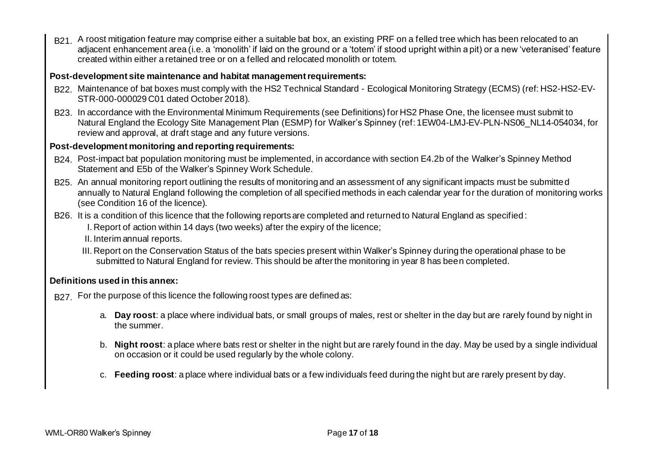B21. A roost mitigation feature may comprise either a suitable bat box, an existing PRF on a felled tree which has been relocated to an adjacent enhancement area (i.e. a 'monolith' if laid on the ground or a 'totem' if stood upright within a pit) or a new 'veteranised' feature created within either a retained tree or on a felled and relocated monolith or totem.

## **Post-development site maintenance and habitat management requirements:**

- B22. Maintenance of bat boxes must comply with the HS2 Technical Standard Ecological Monitoring Strategy (ECMS) (ref: HS2-HS2-EV-STR-000-000029 C01 dated October 2018).
- B23. In accordance with the Environmental Minimum Requirements (see Definitions) for HS2 Phase One, the licensee must submit to Natural England the Ecology Site Management Plan (ESMP) for Walker's Spinney (ref: 1EW04-LMJ-EV-PLN-NS06\_NL14-054034, for review and approval, at draft stage and any future versions.

## **Post-development monitoring and reporting requirements:**

- B24. Post-impact bat population monitoring must be implemented, in accordance with section E4.2b of the Walker's Spinney Method Statement and E5b of the Walker's Spinney Work Schedule.
- B25. An annual monitoring report outlining the results of monitoring and an assessment of any significant impacts must be submitted annually to Natural England following the completion of all specified methods in each calendar year for the duration of monitoring works (see Condition 16 of the licence).
- B26. It is a condition of this licence that the following reports are completed and returned to Natural England as specified:
	- I. Report of action within 14 days (two weeks) after the expiry of the licence;
	- II. Interim annual reports.
	- III. Report on the Conservation Status of the bats species present within Walker's Spinney during the operational phase to be submitted to Natural England for review. This should be after the monitoring in year 8 has been completed.

## **Definitions used in this annex:**

- B<sub>27</sub>. For the purpose of this licence the following roost types are defined as:
	- a. **Day roost**: a place where individual bats, or small groups of males, rest or shelter in the day but are rarely found by night in the summer.
	- b. **Night roost**: a place where bats rest or shelter in the night but are rarely found in the day. May be used by a single individual on occasion or it could be used regularly by the whole colony.
	- c. **Feeding roost**: a place where individual bats or a few individuals feed during the night but are rarely present by day.